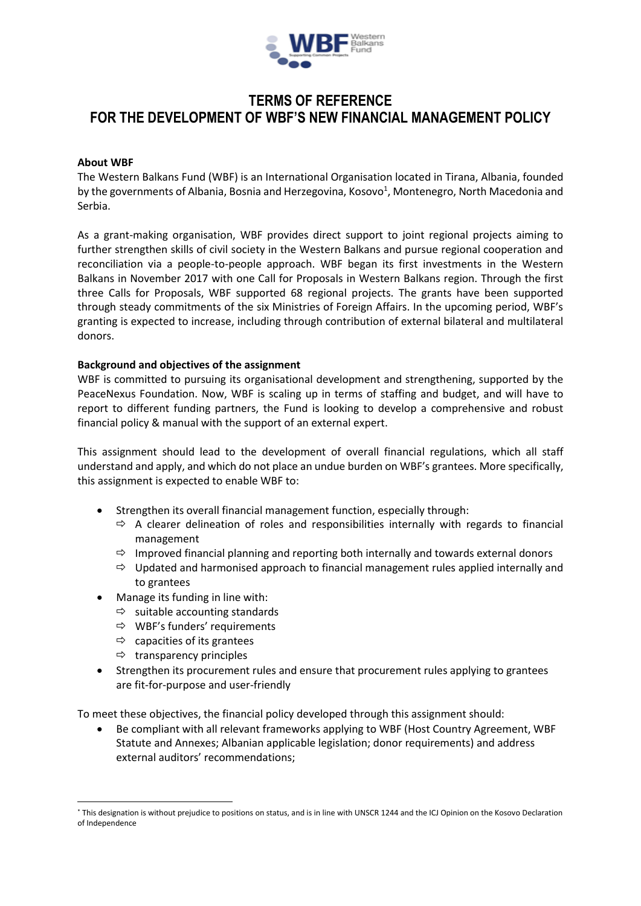

# **TERMS OF REFERENCE FOR THE DEVELOPMENT OF WBF'S NEW FINANCIAL MANAGEMENT POLICY**

# **About WBF**

The Western Balkans Fund (WBF) is an International Organisation located in Tirana, Albania, founded by the governments of Albania, Bosnia and Herzegovina, Kosovo<sup>1</sup>, Montenegro, North Macedonia and Serbia.

As a grant-making organisation, WBF provides direct support to joint regional projects aiming to further strengthen skills of civil society in the Western Balkans and pursue regional cooperation and reconciliation via a people-to-people approach. WBF began its first investments in the Western Balkans in November 2017 with one Call for Proposals in Western Balkans region. Through the first three Calls for Proposals, WBF supported 68 regional projects. The grants have been supported through steady commitments of the six Ministries of Foreign Affairs. In the upcoming period, WBF's granting is expected to increase, including through contribution of external bilateral and multilateral donors.

# **Background and objectives of the assignment**

WBF is committed to pursuing its organisational development and strengthening, supported by the PeaceNexus Foundation. Now, WBF is scaling up in terms of staffing and budget, and will have to report to different funding partners, the Fund is looking to develop a comprehensive and robust financial policy & manual with the support of an external expert.

This assignment should lead to the development of overall financial regulations, which all staff understand and apply, and which do not place an undue burden on WBF's grantees. More specifically, this assignment is expected to enable WBF to:

- Strengthen its overall financial management function, especially through:
	- $\Rightarrow$  A clearer delineation of roles and responsibilities internally with regards to financial management
	- $\Rightarrow$  Improved financial planning and reporting both internally and towards external donors
	- $\Rightarrow$  Updated and harmonised approach to financial management rules applied internally and to grantees
	- Manage its funding in line with:
		- $\Rightarrow$  suitable accounting standards
		- $\Rightarrow$  WBF's funders' requirements
		- $\Rightarrow$  capacities of its grantees
		- $\Rightarrow$  transparency principles

1

 Strengthen its procurement rules and ensure that procurement rules applying to grantees are fit-for-purpose and user-friendly

To meet these objectives, the financial policy developed through this assignment should:

 Be compliant with all relevant frameworks applying to WBF (Host Country Agreement, WBF Statute and Annexes; Albanian applicable legislation; donor requirements) and address external auditors' recommendations;

<sup>\*</sup> This designation is without prejudice to positions on status, and is in line with UNSCR 1244 and the ICJ Opinion on the Kosovo Declaration of Independence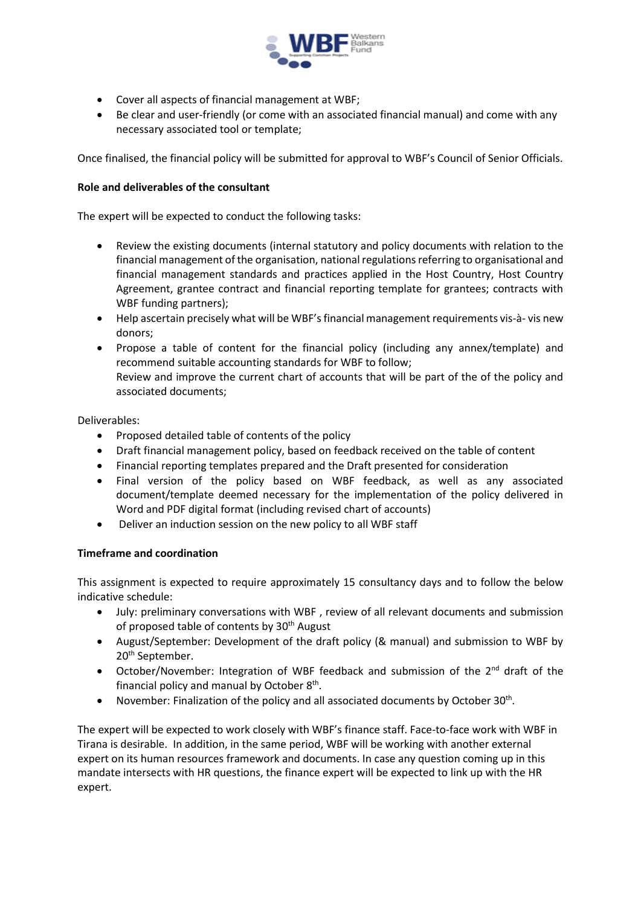

- Cover all aspects of financial management at WBF;
- Be clear and user-friendly (or come with an associated financial manual) and come with any necessary associated tool or template;

Once finalised, the financial policy will be submitted for approval to WBF's Council of Senior Officials.

### **Role and deliverables of the consultant**

The expert will be expected to conduct the following tasks:

- Review the existing documents (internal statutory and policy documents with relation to the financial management of the organisation, national regulations referring to organisational and financial management standards and practices applied in the Host Country, Host Country Agreement, grantee contract and financial reporting template for grantees; contracts with WBF funding partners);
- Help ascertain precisely what will be WBF's financial management requirements vis-à- vis new donors;
- Propose a table of content for the financial policy (including any annex/template) and recommend suitable accounting standards for WBF to follow; Review and improve the current chart of accounts that will be part of the of the policy and associated documents;

Deliverables:

- Proposed detailed table of contents of the policy
- Draft financial management policy, based on feedback received on the table of content
- Financial reporting templates prepared and the Draft presented for consideration
- Final version of the policy based on WBF feedback, as well as any associated document/template deemed necessary for the implementation of the policy delivered in Word and PDF digital format (including revised chart of accounts)
- Deliver an induction session on the new policy to all WBF staff

# **Timeframe and coordination**

This assignment is expected to require approximately 15 consultancy days and to follow the below indicative schedule:

- July: preliminary conversations with WBF , review of all relevant documents and submission of proposed table of contents by 30<sup>th</sup> August
- August/September: Development of the draft policy (& manual) and submission to WBF by 20<sup>th</sup> September.
- October/November: Integration of WBF feedback and submission of the  $2^{nd}$  draft of the financial policy and manual by October 8<sup>th</sup>.
- November: Finalization of the policy and all associated documents by October 30<sup>th</sup>.

The expert will be expected to work closely with WBF's finance staff. Face-to-face work with WBF in Tirana is desirable. In addition, in the same period, WBF will be working with another external expert on its human resources framework and documents. In case any question coming up in this mandate intersects with HR questions, the finance expert will be expected to link up with the HR expert.